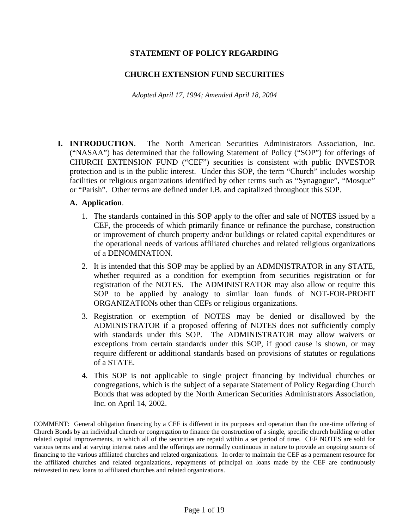## **STATEMENT OF POLICY REGARDING**

### **CHURCH EXTENSION FUND SECURITIES**

*Adopted April 17, 1994; Amended April 18, 2004* 

**I. INTRODUCTION**. The North American Securities Administrators Association, Inc. ("NASAA") has determined that the following Statement of Policy ("SOP") for offerings of CHURCH EXTENSION FUND ("CEF") securities is consistent with public INVESTOR protection and is in the public interest. Under this SOP, the term "Church" includes worship facilities or religious organizations identified by other terms such as "Synagogue", "Mosque" or "Parish". Other terms are defined under I.B. and capitalized throughout this SOP.

#### **A. Application**.

- 1. The standards contained in this SOP apply to the offer and sale of NOTES issued by a CEF, the proceeds of which primarily finance or refinance the purchase, construction or improvement of church property and/or buildings or related capital expenditures or the operational needs of various affiliated churches and related religious organizations of a DENOMINATION.
- 2. It is intended that this SOP may be applied by an ADMINISTRATOR in any STATE, whether required as a condition for exemption from securities registration or for registration of the NOTES. The ADMINISTRATOR may also allow or require this SOP to be applied by analogy to similar loan funds of NOT-FOR-PROFIT ORGANIZATIONs other than CEFs or religious organizations.
- 3. Registration or exemption of NOTES may be denied or disallowed by the ADMINISTRATOR if a proposed offering of NOTES does not sufficiently comply with standards under this SOP. The ADMINISTRATOR may allow waivers or exceptions from certain standards under this SOP, if good cause is shown, or may require different or additional standards based on provisions of statutes or regulations of a STATE.
- 4. This SOP is not applicable to single project financing by individual churches or congregations, which is the subject of a separate Statement of Policy Regarding Church Bonds that was adopted by the North American Securities Administrators Association, Inc. on April 14, 2002.

COMMENT: General obligation financing by a CEF is different in its purposes and operation than the one-time offering of Church Bonds by an individual church or congregation to finance the construction of a single, specific church building or other related capital improvements, in which all of the securities are repaid within a set period of time. CEF NOTES are sold for various terms and at varying interest rates and the offerings are normally continuous in nature to provide an ongoing source of financing to the various affiliated churches and related organizations. In order to maintain the CEF as a permanent resource for the affiliated churches and related organizations, repayments of principal on loans made by the CEF are continuously reinvested in new loans to affiliated churches and related organizations.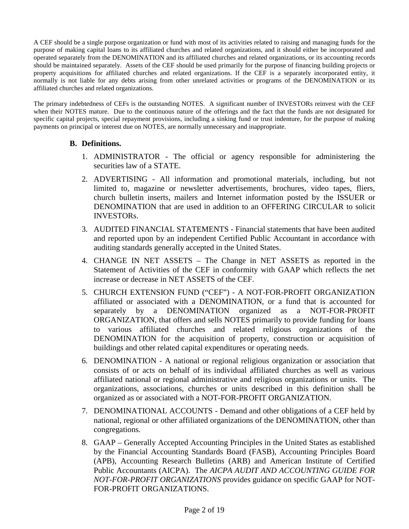A CEF should be a single purpose organization or fund with most of its activities related to raising and managing funds for the purpose of making capital loans to its affiliated churches and related organizations, and it should either be incorporated and operated separately from the DENOMINATION and its affiliated churches and related organizations, or its accounting records should be maintained separately. Assets of the CEF should be used primarily for the purpose of financing building projects or property acquisitions for affiliated churches and related organizations. If the CEF is a separately incorporated entity, it normally is not liable for any debts arising from other unrelated activities or programs of the DENOMINATION or its affiliated churches and related organizations.

The primary indebtedness of CEFs is the outstanding NOTES. A significant number of INVESTORs reinvest with the CEF when their NOTES mature. Due to the continuous nature of the offerings and the fact that the funds are not designated for specific capital projects, special repayment provisions, including a sinking fund or trust indenture, for the purpose of making payments on principal or interest due on NOTES, are normally unnecessary and inappropriate.

#### **B. Definitions.**

- 1. ADMINISTRATOR The official or agency responsible for administering the securities law of a STATE.
- 2. ADVERTISING All information and promotional materials, including, but not limited to, magazine or newsletter advertisements, brochures, video tapes, fliers, church bulletin inserts, mailers and Internet information posted by the ISSUER or DENOMINATION that are used in addition to an OFFERING CIRCULAR to solicit INVESTORs.
- 3. AUDITED FINANCIAL STATEMENTS Financial statements that have been audited and reported upon by an independent Certified Public Accountant in accordance with auditing standards generally accepted in the United States.
- 4. CHANGE IN NET ASSETS The Change in NET ASSETS as reported in the Statement of Activities of the CEF in conformity with GAAP which reflects the net increase or decrease in NET ASSETS of the CEF.
- 5. CHURCH EXTENSION FUND ("CEF") A NOT-FOR-PROFIT ORGANIZATION affiliated or associated with a DENOMINATION, or a fund that is accounted for separately by a DENOMINATION organized as a NOT-FOR-PROFIT ORGANIZATION, that offers and sells NOTES primarily to provide funding for loans to various affiliated churches and related religious organizations of the DENOMINATION for the acquisition of property, construction or acquisition of buildings and other related capital expenditures or operating needs.
- 6. DENOMINATION A national or regional religious organization or association that consists of or acts on behalf of its individual affiliated churches as well as various affiliated national or regional administrative and religious organizations or units. The organizations, associations, churches or units described in this definition shall be organized as or associated with a NOT-FOR-PROFIT ORGANIZATION.
- 7. DENOMINATIONAL ACCOUNTS Demand and other obligations of a CEF held by national, regional or other affiliated organizations of the DENOMINATION, other than congregations.
- 8. GAAP Generally Accepted Accounting Principles in the United States as established by the Financial Accounting Standards Board (FASB), Accounting Principles Board (APB), Accounting Research Bulletins (ARB) and American Institute of Certified Public Accountants (AICPA). The *AICPA AUDIT AND ACCOUNTING GUIDE FOR NOT-FOR-PROFIT ORGANIZATIONS* provides guidance on specific GAAP for NOT-FOR-PROFIT ORGANIZATIONS.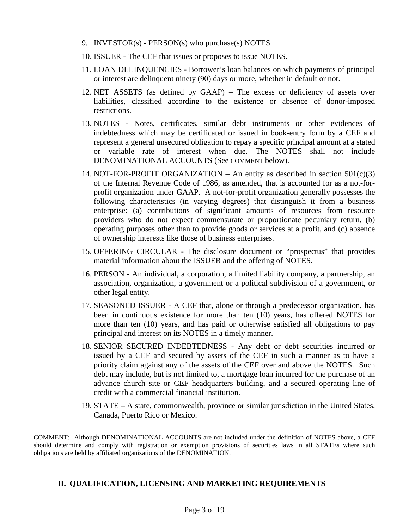- 9. INVESTOR(s) PERSON(s) who purchase(s) NOTES.
- 10. ISSUER The CEF that issues or proposes to issue NOTES.
- 11. LOAN DELINQUENCIES Borrower's loan balances on which payments of principal or interest are delinquent ninety (90) days or more, whether in default or not.
- 12. NET ASSETS (as defined by GAAP) The excess or deficiency of assets over liabilities, classified according to the existence or absence of donor-imposed restrictions.
- 13. NOTES Notes, certificates, similar debt instruments or other evidences of indebtedness which may be certificated or issued in book-entry form by a CEF and represent a general unsecured obligation to repay a specific principal amount at a stated or variable rate of interest when due. The NOTES shall not include DENOMINATIONAL ACCOUNTS (See COMMENT below).
- 14. NOT-FOR-PROFIT ORGANIZATION An entity as described in section  $501(c)(3)$ of the Internal Revenue Code of 1986, as amended, that is accounted for as a not-forprofit organization under GAAP. A not-for-profit organization generally possesses the following characteristics (in varying degrees) that distinguish it from a business enterprise: (a) contributions of significant amounts of resources from resource providers who do not expect commensurate or proportionate pecuniary return, (b) operating purposes other than to provide goods or services at a profit, and (c) absence of ownership interests like those of business enterprises.
- 15. OFFERING CIRCULAR The disclosure document or "prospectus" that provides material information about the ISSUER and the offering of NOTES.
- 16. PERSON An individual, a corporation, a limited liability company, a partnership, an association, organization, a government or a political subdivision of a government, or other legal entity.
- 17. SEASONED ISSUER A CEF that, alone or through a predecessor organization, has been in continuous existence for more than ten (10) years, has offered NOTES for more than ten (10) years, and has paid or otherwise satisfied all obligations to pay principal and interest on its NOTES in a timely manner.
- 18. SENIOR SECURED INDEBTEDNESS Any debt or debt securities incurred or issued by a CEF and secured by assets of the CEF in such a manner as to have a priority claim against any of the assets of the CEF over and above the NOTES. Such debt may include, but is not limited to, a mortgage loan incurred for the purchase of an advance church site or CEF headquarters building, and a secured operating line of credit with a commercial financial institution.
- 19. STATE A state, commonwealth, province or similar jurisdiction in the United States, Canada, Puerto Rico or Mexico.

COMMENT: Although DENOMINATIONAL ACCOUNTS are not included under the definition of NOTES above, a CEF should determine and comply with registration or exemption provisions of securities laws in all STATEs where such obligations are held by affiliated organizations of the DENOMINATION.

## **II. QUALIFICATION, LICENSING AND MARKETING REQUIREMENTS**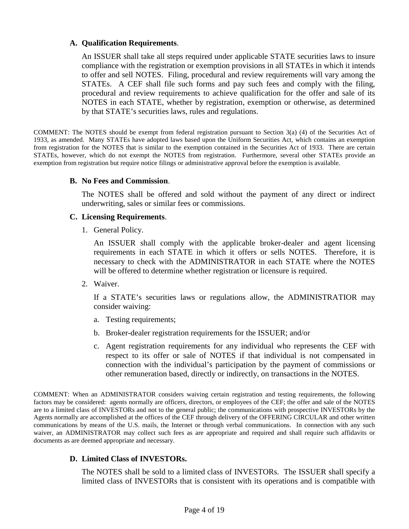### **A. Qualification Requirements**.

An ISSUER shall take all steps required under applicable STATE securities laws to insure compliance with the registration or exemption provisions in all STATEs in which it intends to offer and sell NOTES. Filing, procedural and review requirements will vary among the STATEs. A CEF shall file such forms and pay such fees and comply with the filing, procedural and review requirements to achieve qualification for the offer and sale of its NOTES in each STATE, whether by registration, exemption or otherwise, as determined by that STATE's securities laws, rules and regulations.

COMMENT: The NOTES should be exempt from federal registration pursuant to Section 3(a) (4) of the Securities Act of 1933, as amended. Many STATEs have adopted laws based upon the Uniform Securities Act, which contains an exemption from registration for the NOTES that is similar to the exemption contained in the Securities Act of 1933. There are certain STATEs, however, which do not exempt the NOTES from registration. Furthermore, several other STATEs provide an exemption from registration but require notice filings or administrative approval before the exemption is available.

#### **B. No Fees and Commission**.

The NOTES shall be offered and sold without the payment of any direct or indirect underwriting, sales or similar fees or commissions.

#### **C. Licensing Requirements**.

1. General Policy.

An ISSUER shall comply with the applicable broker-dealer and agent licensing requirements in each STATE in which it offers or sells NOTES. Therefore, it is necessary to check with the ADMINISTRATOR in each STATE where the NOTES will be offered to determine whether registration or licensure is required.

2. Waiver.

If a STATE's securities laws or regulations allow, the ADMINISTRATIOR may consider waiving:

- a. Testing requirements;
- b. Broker-dealer registration requirements for the ISSUER; and/or
- c. Agent registration requirements for any individual who represents the CEF with respect to its offer or sale of NOTES if that individual is not compensated in connection with the individual's participation by the payment of commissions or other remuneration based, directly or indirectly, on transactions in the NOTES.

COMMENT: When an ADMINISTRATOR considers waiving certain registration and testing requirements, the following factors may be considered: agents normally are officers, directors, or employees of the CEF; the offer and sale of the NOTES are to a limited class of INVESTORs and not to the general public; the communications with prospective INVESTORs by the Agents normally are accomplished at the offices of the CEF through delivery of the OFFERING CIRCULAR and other written communications by means of the U.S. mails, the Internet or through verbal communications. In connection with any such waiver, an ADMINISTRATOR may collect such fees as are appropriate and required and shall require such affidavits or documents as are deemed appropriate and necessary.

## **D. Limited Class of INVESTORs.**

The NOTES shall be sold to a limited class of INVESTORs. The ISSUER shall specify a limited class of INVESTORs that is consistent with its operations and is compatible with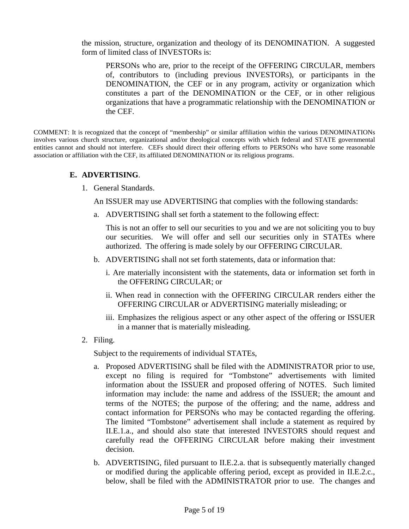the mission, structure, organization and theology of its DENOMINATION. A suggested form of limited class of INVESTORs is:

PERSONs who are, prior to the receipt of the OFFERING CIRCULAR, members of, contributors to (including previous INVESTORs), or participants in the DENOMINATION, the CEF or in any program, activity or organization which constitutes a part of the DENOMINATION or the CEF, or in other religious organizations that have a programmatic relationship with the DENOMINATION or the CEF.

COMMENT: It is recognized that the concept of "membership" or similar affiliation within the various DENOMINATIONs involves various church structure, organizational and/or theological concepts with which federal and STATE governmental entities cannot and should not interfere. CEFs should direct their offering efforts to PERSONs who have some reasonable association or affiliation with the CEF, its affiliated DENOMINATION or its religious programs.

#### **E. ADVERTISING**.

1. General Standards.

An ISSUER may use ADVERTISING that complies with the following standards:

a. ADVERTISING shall set forth a statement to the following effect:

This is not an offer to sell our securities to you and we are not soliciting you to buy our securities. We will offer and sell our securities only in STATEs where authorized. The offering is made solely by our OFFERING CIRCULAR.

- b. ADVERTISING shall not set forth statements, data or information that:
	- i. Are materially inconsistent with the statements, data or information set forth in the OFFERING CIRCULAR; or
	- ii. When read in connection with the OFFERING CIRCULAR renders either the OFFERING CIRCULAR or ADVERTISING materially misleading; or
	- iii. Emphasizes the religious aspect or any other aspect of the offering or ISSUER in a manner that is materially misleading.
- 2. Filing.

Subject to the requirements of individual STATEs,

- a. Proposed ADVERTISING shall be filed with the ADMINISTRATOR prior to use, except no filing is required for "Tombstone" advertisements with limited information about the ISSUER and proposed offering of NOTES. Such limited information may include: the name and address of the ISSUER; the amount and terms of the NOTES; the purpose of the offering; and the name, address and contact information for PERSONs who may be contacted regarding the offering. The limited "Tombstone" advertisement shall include a statement as required by II.E.1.a., and should also state that interested INVESTORS should request and carefully read the OFFERING CIRCULAR before making their investment decision.
- b. ADVERTISING, filed pursuant to II.E.2.a. that is subsequently materially changed or modified during the applicable offering period, except as provided in II.E.2.c., below, shall be filed with the ADMINISTRATOR prior to use. The changes and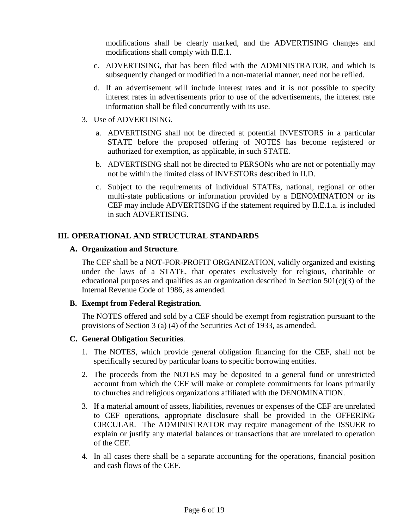modifications shall be clearly marked, and the ADVERTISING changes and modifications shall comply with II.E.1.

- c. ADVERTISING, that has been filed with the ADMINISTRATOR, and which is subsequently changed or modified in a non-material manner, need not be refiled.
- d. If an advertisement will include interest rates and it is not possible to specify interest rates in advertisements prior to use of the advertisements, the interest rate information shall be filed concurrently with its use.
- 3. Use of ADVERTISING.
	- a. ADVERTISING shall not be directed at potential INVESTORS in a particular STATE before the proposed offering of NOTES has become registered or authorized for exemption, as applicable, in such STATE.
	- b. ADVERTISING shall not be directed to PERSONs who are not or potentially may not be within the limited class of INVESTORs described in II.D.
	- c. Subject to the requirements of individual STATEs, national, regional or other multi-state publications or information provided by a DENOMINATION or its CEF may include ADVERTISING if the statement required by II.E.1.a. is included in such ADVERTISING.

#### **III. OPERATIONAL AND STRUCTURAL STANDARDS**

#### **A. Organization and Structure**.

The CEF shall be a NOT-FOR-PROFIT ORGANIZATION, validly organized and existing under the laws of a STATE, that operates exclusively for religious, charitable or educational purposes and qualifies as an organization described in Section  $501(c)(3)$  of the Internal Revenue Code of 1986, as amended.

#### **B. Exempt from Federal Registration**.

The NOTES offered and sold by a CEF should be exempt from registration pursuant to the provisions of Section 3 (a) (4) of the Securities Act of 1933, as amended.

#### **C. General Obligation Securities**.

- 1. The NOTES, which provide general obligation financing for the CEF, shall not be specifically secured by particular loans to specific borrowing entities.
- 2. The proceeds from the NOTES may be deposited to a general fund or unrestricted account from which the CEF will make or complete commitments for loans primarily to churches and religious organizations affiliated with the DENOMINATION.
- 3. If a material amount of assets, liabilities, revenues or expenses of the CEF are unrelated to CEF operations, appropriate disclosure shall be provided in the OFFERING CIRCULAR. The ADMINISTRATOR may require management of the ISSUER to explain or justify any material balances or transactions that are unrelated to operation of the CEF.
- 4. In all cases there shall be a separate accounting for the operations, financial position and cash flows of the CEF.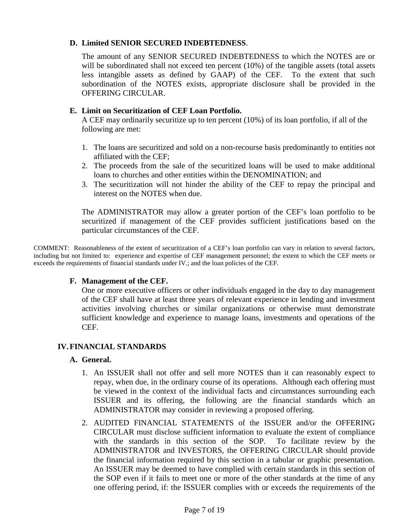### **D. Limited SENIOR SECURED INDEBTEDNESS**.

The amount of any SENIOR SECURED INDEBTEDNESS to which the NOTES are or will be subordinated shall not exceed ten percent (10%) of the tangible assets (total assets less intangible assets as defined by GAAP) of the CEF. To the extent that such subordination of the NOTES exists, appropriate disclosure shall be provided in the OFFERING CIRCULAR.

### **E. Limit on Securitization of CEF Loan Portfolio.**

A CEF may ordinarily securitize up to ten percent (10%) of its loan portfolio, if all of the following are met:

- 1. The loans are securitized and sold on a non-recourse basis predominantly to entities not affiliated with the CEF;
- 2. The proceeds from the sale of the securitized loans will be used to make additional loans to churches and other entities within the DENOMINATION; and
- 3. The securitization will not hinder the ability of the CEF to repay the principal and interest on the NOTES when due.

The ADMINISTRATOR may allow a greater portion of the CEF's loan portfolio to be securitized if management of the CEF provides sufficient justifications based on the particular circumstances of the CEF.

COMMENT: Reasonableness of the extent of securitization of a CEF's loan portfolio can vary in relation to several factors, including but not limited to: experience and expertise of CEF management personnel; the extent to which the CEF meets or exceeds the requirements of financial standards under IV.; and the loan policies of the CEF.

#### **F. Management of the CEF.**

One or more executive officers or other individuals engaged in the day to day management of the CEF shall have at least three years of relevant experience in lending and investment activities involving churches or similar organizations or otherwise must demonstrate sufficient knowledge and experience to manage loans, investments and operations of the CEF.

## **IV. FINANCIAL STANDARDS**

#### **A. General.**

- 1. An ISSUER shall not offer and sell more NOTES than it can reasonably expect to repay, when due, in the ordinary course of its operations. Although each offering must be viewed in the context of the individual facts and circumstances surrounding each ISSUER and its offering, the following are the financial standards which an ADMINISTRATOR may consider in reviewing a proposed offering.
- 2. AUDITED FINANCIAL STATEMENTS of the ISSUER and/or the OFFERING CIRCULAR must disclose sufficient information to evaluate the extent of compliance with the standards in this section of the SOP. To facilitate review by the ADMINISTRATOR and INVESTORS, the OFFERING CIRCULAR should provide the financial information required by this section in a tabular or graphic presentation. An ISSUER may be deemed to have complied with certain standards in this section of the SOP even if it fails to meet one or more of the other standards at the time of any one offering period, if: the ISSUER complies with or exceeds the requirements of the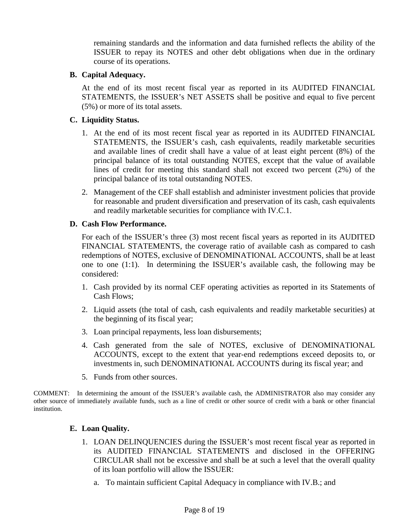remaining standards and the information and data furnished reflects the ability of the ISSUER to repay its NOTES and other debt obligations when due in the ordinary course of its operations.

### **B. Capital Adequacy.**

At the end of its most recent fiscal year as reported in its AUDITED FINANCIAL STATEMENTS, the ISSUER's NET ASSETS shall be positive and equal to five percent (5%) or more of its total assets.

### **C. Liquidity Status.**

- 1. At the end of its most recent fiscal year as reported in its AUDITED FINANCIAL STATEMENTS, the ISSUER's cash, cash equivalents, readily marketable securities and available lines of credit shall have a value of at least eight percent (8%) of the principal balance of its total outstanding NOTES, except that the value of available lines of credit for meeting this standard shall not exceed two percent (2%) of the principal balance of its total outstanding NOTES.
- 2. Management of the CEF shall establish and administer investment policies that provide for reasonable and prudent diversification and preservation of its cash, cash equivalents and readily marketable securities for compliance with IV.C.1.

#### **D. Cash Flow Performance.**

For each of the ISSUER's three (3) most recent fiscal years as reported in its AUDITED FINANCIAL STATEMENTS, the coverage ratio of available cash as compared to cash redemptions of NOTES, exclusive of DENOMINATIONAL ACCOUNTS, shall be at least one to one (1:1). In determining the ISSUER's available cash, the following may be considered:

- 1. Cash provided by its normal CEF operating activities as reported in its Statements of Cash Flows;
- 2. Liquid assets (the total of cash, cash equivalents and readily marketable securities) at the beginning of its fiscal year;
- 3. Loan principal repayments, less loan disbursements;
- 4. Cash generated from the sale of NOTES, exclusive of DENOMINATIONAL ACCOUNTS, except to the extent that year-end redemptions exceed deposits to, or investments in, such DENOMINATIONAL ACCOUNTS during its fiscal year; and
- 5. Funds from other sources.

COMMENT: In determining the amount of the ISSUER's available cash, the ADMINISTRATOR also may consider any other source of immediately available funds, such as a line of credit or other source of credit with a bank or other financial institution.

#### **E. Loan Quality.**

- 1. LOAN DELINQUENCIES during the ISSUER's most recent fiscal year as reported in its AUDITED FINANCIAL STATEMENTS and disclosed in the OFFERING CIRCULAR shall not be excessive and shall be at such a level that the overall quality of its loan portfolio will allow the ISSUER:
	- a. To maintain sufficient Capital Adequacy in compliance with IV.B.; and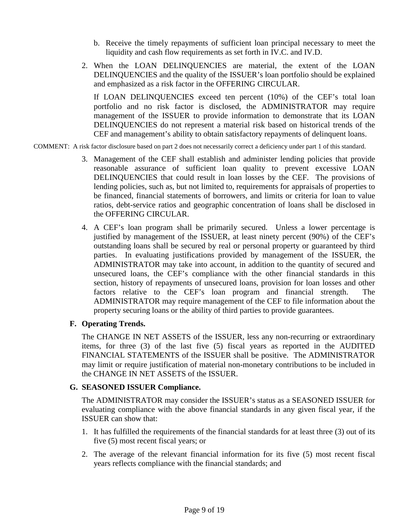- b. Receive the timely repayments of sufficient loan principal necessary to meet the liquidity and cash flow requirements as set forth in IV.C. and IV.D.
- 2. When the LOAN DELINQUENCIES are material, the extent of the LOAN DELINQUENCIES and the quality of the ISSUER's loan portfolio should be explained and emphasized as a risk factor in the OFFERING CIRCULAR.

If LOAN DELINQUENCIES exceed ten percent (10%) of the CEF's total loan portfolio and no risk factor is disclosed, the ADMINISTRATOR may require management of the ISSUER to provide information to demonstrate that its LOAN DELINQUENCIES do not represent a material risk based on historical trends of the CEF and management's ability to obtain satisfactory repayments of delinquent loans.

#### COMMENT: A risk factor disclosure based on part 2 does not necessarily correct a deficiency under part 1 of this standard.

- 3. Management of the CEF shall establish and administer lending policies that provide reasonable assurance of sufficient loan quality to prevent excessive LOAN DELINQUENCIES that could result in loan losses by the CEF. The provisions of lending policies, such as, but not limited to, requirements for appraisals of properties to be financed, financial statements of borrowers, and limits or criteria for loan to value ratios, debt-service ratios and geographic concentration of loans shall be disclosed in the OFFERING CIRCULAR.
- 4. A CEF's loan program shall be primarily secured. Unless a lower percentage is justified by management of the ISSUER, at least ninety percent (90%) of the CEF's outstanding loans shall be secured by real or personal property or guaranteed by third parties. In evaluating justifications provided by management of the ISSUER, the ADMINISTRATOR may take into account, in addition to the quantity of secured and unsecured loans, the CEF's compliance with the other financial standards in this section, history of repayments of unsecured loans, provision for loan losses and other factors relative to the CEF's loan program and financial strength. The ADMINISTRATOR may require management of the CEF to file information about the property securing loans or the ability of third parties to provide guarantees.

#### **F. Operating Trends.**

The CHANGE IN NET ASSETS of the ISSUER, less any non-recurring or extraordinary items, for three (3) of the last five (5) fiscal years as reported in the AUDITED FINANCIAL STATEMENTS of the ISSUER shall be positive. The ADMINISTRATOR may limit or require justification of material non-monetary contributions to be included in the CHANGE IN NET ASSETS of the ISSUER.

#### **G. SEASONED ISSUER Compliance.**

The ADMINISTRATOR may consider the ISSUER's status as a SEASONED ISSUER for evaluating compliance with the above financial standards in any given fiscal year, if the ISSUER can show that:

- 1. It has fulfilled the requirements of the financial standards for at least three (3) out of its five (5) most recent fiscal years; or
- 2. The average of the relevant financial information for its five (5) most recent fiscal years reflects compliance with the financial standards; and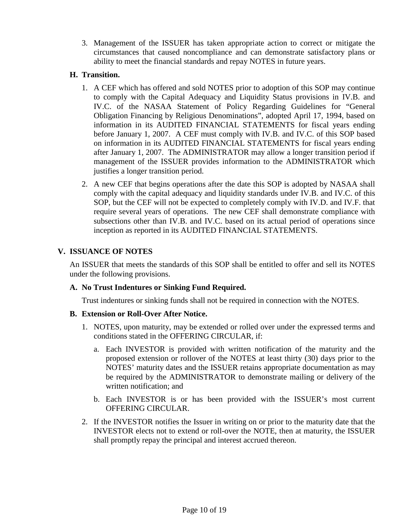3. Management of the ISSUER has taken appropriate action to correct or mitigate the circumstances that caused noncompliance and can demonstrate satisfactory plans or ability to meet the financial standards and repay NOTES in future years.

### **H. Transition.**

- 1. A CEF which has offered and sold NOTES prior to adoption of this SOP may continue to comply with the Capital Adequacy and Liquidity Status provisions in IV.B. and IV.C. of the NASAA Statement of Policy Regarding Guidelines for "General Obligation Financing by Religious Denominations", adopted April 17, 1994, based on information in its AUDITED FINANCIAL STATEMENTS for fiscal years ending before January 1, 2007. A CEF must comply with IV.B. and IV.C. of this SOP based on information in its AUDITED FINANCIAL STATEMENTS for fiscal years ending after January 1, 2007. The ADMINISTRATOR may allow a longer transition period if management of the ISSUER provides information to the ADMINISTRATOR which justifies a longer transition period.
- 2. A new CEF that begins operations after the date this SOP is adopted by NASAA shall comply with the capital adequacy and liquidity standards under IV.B. and IV.C. of this SOP, but the CEF will not be expected to completely comply with IV.D. and IV.F. that require several years of operations. The new CEF shall demonstrate compliance with subsections other than IV.B. and IV.C. based on its actual period of operations since inception as reported in its AUDITED FINANCIAL STATEMENTS.

## **V. ISSUANCE OF NOTES**

An ISSUER that meets the standards of this SOP shall be entitled to offer and sell its NOTES under the following provisions.

## **A. No Trust Indentures or Sinking Fund Required.**

Trust indentures or sinking funds shall not be required in connection with the NOTES.

#### **B. Extension or Roll-Over After Notice.**

- 1. NOTES, upon maturity, may be extended or rolled over under the expressed terms and conditions stated in the OFFERING CIRCULAR, if:
	- a. Each INVESTOR is provided with written notification of the maturity and the proposed extension or rollover of the NOTES at least thirty (30) days prior to the NOTES' maturity dates and the ISSUER retains appropriate documentation as may be required by the ADMINISTRATOR to demonstrate mailing or delivery of the written notification; and
	- b. Each INVESTOR is or has been provided with the ISSUER's most current OFFERING CIRCULAR.
- 2. If the INVESTOR notifies the Issuer in writing on or prior to the maturity date that the INVESTOR elects not to extend or roll-over the NOTE, then at maturity, the ISSUER shall promptly repay the principal and interest accrued thereon.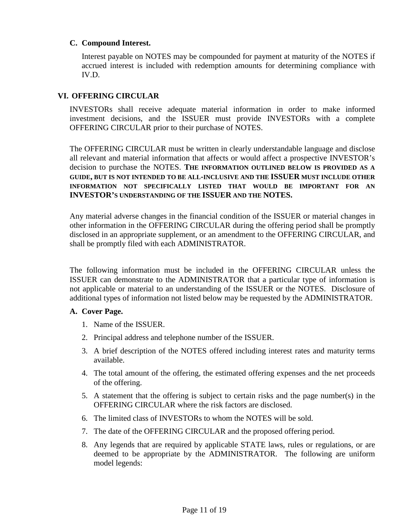#### **C. Compound Interest.**

Interest payable on NOTES may be compounded for payment at maturity of the NOTES if accrued interest is included with redemption amounts for determining compliance with IV.D.

### **VI. OFFERING CIRCULAR**

INVESTORs shall receive adequate material information in order to make informed investment decisions, and the ISSUER must provide INVESTORs with a complete OFFERING CIRCULAR prior to their purchase of NOTES.

The OFFERING CIRCULAR must be written in clearly understandable language and disclose all relevant and material information that affects or would affect a prospective INVESTOR's decision to purchase the NOTES. **THE INFORMATION OUTLINED BELOW IS PROVIDED AS A GUIDE, BUT IS NOT INTENDED TO BE ALL-INCLUSIVE AND THE ISSUER MUST INCLUDE OTHER INFORMATION NOT SPECIFICALLY LISTED THAT WOULD BE IMPORTANT FOR AN INVESTOR'S UNDERSTANDING OF THE ISSUER AND THE NOTES.** 

Any material adverse changes in the financial condition of the ISSUER or material changes in other information in the OFFERING CIRCULAR during the offering period shall be promptly disclosed in an appropriate supplement, or an amendment to the OFFERING CIRCULAR, and shall be promptly filed with each ADMINISTRATOR.

The following information must be included in the OFFERING CIRCULAR unless the ISSUER can demonstrate to the ADMINISTRATOR that a particular type of information is not applicable or material to an understanding of the ISSUER or the NOTES. Disclosure of additional types of information not listed below may be requested by the ADMINISTRATOR.

#### **A. Cover Page.**

- 1. Name of the ISSUER.
- 2. Principal address and telephone number of the ISSUER.
- 3. A brief description of the NOTES offered including interest rates and maturity terms available.
- 4. The total amount of the offering, the estimated offering expenses and the net proceeds of the offering.
- 5. A statement that the offering is subject to certain risks and the page number(s) in the OFFERING CIRCULAR where the risk factors are disclosed.
- 6. The limited class of INVESTORs to whom the NOTES will be sold.
- 7. The date of the OFFERING CIRCULAR and the proposed offering period.
- 8. Any legends that are required by applicable STATE laws, rules or regulations, or are deemed to be appropriate by the ADMINISTRATOR. The following are uniform model legends: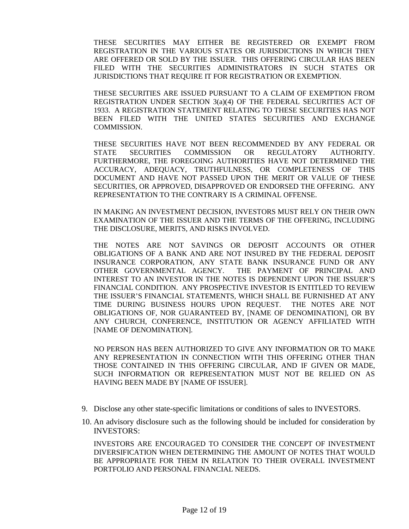THESE SECURITIES MAY EITHER BE REGISTERED OR EXEMPT FROM REGISTRATION IN THE VARIOUS STATES OR JURISDICTIONS IN WHICH THEY ARE OFFERED OR SOLD BY THE ISSUER. THIS OFFERING CIRCULAR HAS BEEN FILED WITH THE SECURITIES ADMINISTRATORS IN SUCH STATES OR JURISDICTIONS THAT REQUIRE IT FOR REGISTRATION OR EXEMPTION.

THESE SECURITIES ARE ISSUED PURSUANT TO A CLAIM OF EXEMPTION FROM REGISTRATION UNDER SECTION 3(a)(4) OF THE FEDERAL SECURITIES ACT OF 1933. A REGISTRATION STATEMENT RELATING TO THESE SECURITIES HAS NOT BEEN FILED WITH THE UNITED STATES SECURITIES AND EXCHANGE COMMISSION.

THESE SECURITIES HAVE NOT BEEN RECOMMENDED BY ANY FEDERAL OR STATE SECURITIES COMMISSION OR REGULATORY AUTHORITY. FURTHERMORE, THE FOREGOING AUTHORITIES HAVE NOT DETERMINED THE ACCURACY, ADEQUACY, TRUTHFULNESS, OR COMPLETENESS OF THIS DOCUMENT AND HAVE NOT PASSED UPON THE MERIT OR VALUE OF THESE SECURITIES, OR APPROVED, DISAPPROVED OR ENDORSED THE OFFERING. ANY REPRESENTATION TO THE CONTRARY IS A CRIMINAL OFFENSE.

IN MAKING AN INVESTMENT DECISION, INVESTORS MUST RELY ON THEIR OWN EXAMINATION OF THE ISSUER AND THE TERMS OF THE OFFERING, INCLUDING THE DISCLOSURE, MERITS, AND RISKS INVOLVED.

THE NOTES ARE NOT SAVINGS OR DEPOSIT ACCOUNTS OR OTHER OBLIGATIONS OF A BANK AND ARE NOT INSURED BY THE FEDERAL DEPOSIT INSURANCE CORPORATION, ANY STATE BANK INSURANCE FUND OR ANY OTHER GOVERNMENTAL AGENCY. THE PAYMENT OF PRINCIPAL AND INTEREST TO AN INVESTOR IN THE NOTES IS DEPENDENT UPON THE ISSUER'S FINANCIAL CONDITION. ANY PROSPECTIVE INVESTOR IS ENTITLED TO REVIEW THE ISSUER'S FINANCIAL STATEMENTS, WHICH SHALL BE FURNISHED AT ANY TIME DURING BUSINESS HOURS UPON REQUEST. THE NOTES ARE NOT OBLIGATIONS OF, NOR GUARANTEED BY, [NAME OF DENOMINATION], OR BY ANY CHURCH, CONFERENCE, INSTITUTION OR AGENCY AFFILIATED WITH [NAME OF DENOMINATION].

NO PERSON HAS BEEN AUTHORIZED TO GIVE ANY INFORMATION OR TO MAKE ANY REPRESENTATION IN CONNECTION WITH THIS OFFERING OTHER THAN THOSE CONTAINED IN THIS OFFERING CIRCULAR, AND IF GIVEN OR MADE, SUCH INFORMATION OR REPRESENTATION MUST NOT BE RELIED ON AS HAVING BEEN MADE BY [NAME OF ISSUER].

- 9. Disclose any other state-specific limitations or conditions of sales to INVESTORS.
- 10. An advisory disclosure such as the following should be included for consideration by INVESTORS:

INVESTORS ARE ENCOURAGED TO CONSIDER THE CONCEPT OF INVESTMENT DIVERSIFICATION WHEN DETERMINING THE AMOUNT OF NOTES THAT WOULD BE APPROPRIATE FOR THEM IN RELATION TO THEIR OVERALL INVESTMENT PORTFOLIO AND PERSONAL FINANCIAL NEEDS.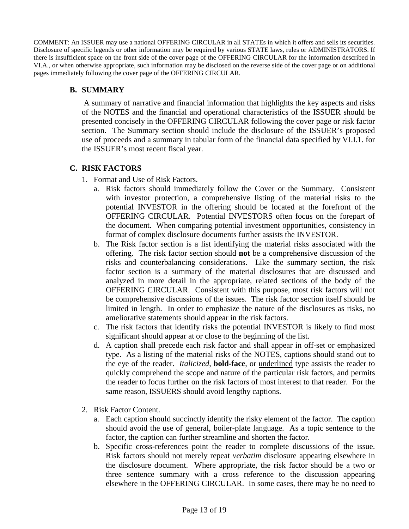COMMENT: An ISSUER may use a national OFFERING CIRCULAR in all STATEs in which it offers and sells its securities. Disclosure of specific legends or other information may be required by various STATE laws, rules or ADMINISTRATORS. If there is insufficient space on the front side of the cover page of the OFFERING CIRCULAR for the information described in VI.A., or when otherwise appropriate, such information may be disclosed on the reverse side of the cover page or on additional pages immediately following the cover page of the OFFERING CIRCULAR.

### **B. SUMMARY**

 A summary of narrative and financial information that highlights the key aspects and risks of the NOTES and the financial and operational characteristics of the ISSUER should be presented concisely in the OFFERING CIRCULAR following the cover page or risk factor section. The Summary section should include the disclosure of the ISSUER's proposed use of proceeds and a summary in tabular form of the financial data specified by VI.I.1. for the ISSUER's most recent fiscal year.

#### **C. RISK FACTORS**

- 1. Format and Use of Risk Factors.
	- a. Risk factors should immediately follow the Cover or the Summary.Consistent with investor protection, a comprehensive listing of the material risks to the potential INVESTOR in the offering should be located at the forefront of the OFFERING CIRCULAR. Potential INVESTORS often focus on the forepart of the document. When comparing potential investment opportunities, consistency in format of complex disclosure documents further assists the INVESTOR.
	- b. The Risk factor section is a list identifying the material risks associated with the offering.The risk factor section should **not** be a comprehensive discussion of the risks and counterbalancing considerations. Like the summary section, the risk factor section is a summary of the material disclosures that are discussed and analyzed in more detail in the appropriate, related sections of the body of the OFFERING CIRCULAR. Consistent with this purpose, most risk factors will not be comprehensive discussions of the issues. The risk factor section itself should be limited in length. In order to emphasize the nature of the disclosures as risks, no ameliorative statements should appear in the risk factors.
	- c. The risk factors that identify risks the potential INVESTOR is likely to find most significant should appear at or close to the beginning of the list.
	- d. A caption shall precede each risk factor and shall appear in off-set or emphasized type. As a listing of the material risks of the NOTES, captions should stand out to the eye of the reader. *Italicized*, **bold-face**, or underlined type assists the reader to quickly comprehend the scope and nature of the particular risk factors, and permits the reader to focus further on the risk factors of most interest to that reader. For the same reason, ISSUERS should avoid lengthy captions.
- 2. Risk Factor Content.
	- a. Each caption should succinctly identify the risky element of the factor. The caption should avoid the use of general, boiler-plate language. As a topic sentence to the factor, the caption can further streamline and shorten the factor.
	- b. Specific cross-references point the reader to complete discussions of the issue. Risk factors should not merely repeat *verbatim* disclosure appearing elsewhere in the disclosure document. Where appropriate, the risk factor should be a two or three sentence summary with a cross reference to the discussion appearing elsewhere in the OFFERING CIRCULAR. In some cases, there may be no need to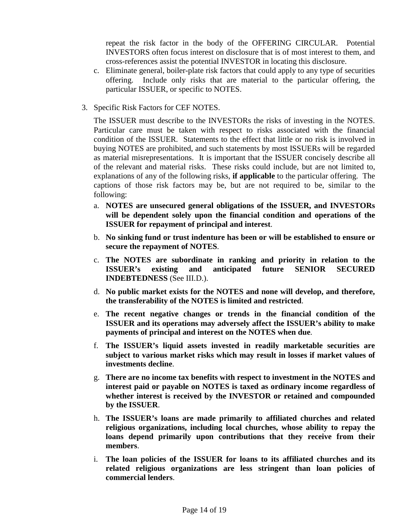repeat the risk factor in the body of the OFFERING CIRCULAR. Potential INVESTORS often focus interest on disclosure that is of most interest to them, and cross-references assist the potential INVESTOR in locating this disclosure.

- c. Eliminate general, boiler-plate risk factors that could apply to any type of securities offering. Include only risks that are material to the particular offering, the particular ISSUER, or specific to NOTES.
- 3. Specific Risk Factors for CEF NOTES.

The ISSUER must describe to the INVESTORs the risks of investing in the NOTES. Particular care must be taken with respect to risks associated with the financial condition of the ISSUER. Statements to the effect that little or no risk is involved in buying NOTES are prohibited, and such statements by most ISSUERs will be regarded as material misrepresentations. It is important that the ISSUER concisely describe all of the relevant and material risks. These risks could include, but are not limited to, explanations of any of the following risks, **if applicable** to the particular offering. The captions of those risk factors may be, but are not required to be, similar to the following:

- a. **NOTES are unsecured general obligations of the ISSUER, and INVESTORs will be dependent solely upon the financial condition and operations of the ISSUER for repayment of principal and interest**.
- b. **No sinking fund or trust indenture has been or will be established to ensure or secure the repayment of NOTES**.
- c. **The NOTES are subordinate in ranking and priority in relation to the ISSUER's existing and anticipated future SENIOR SECURED INDEBTEDNESS** (See III.D.).
- d. **No public market exists for the NOTES and none will develop, and therefore, the transferability of the NOTES is limited and restricted**.
- e. **The recent negative changes or trends in the financial condition of the ISSUER and its operations may adversely affect the ISSUER's ability to make payments of principal and interest on the NOTES when due**.
- f. **The ISSUER's liquid assets invested in readily marketable securities are subject to various market risks which may result in losses if market values of investments decline**.
- g. **There are no income tax benefits with respect to investment in the NOTES and interest paid or payable on NOTES is taxed as ordinary income regardless of whether interest is received by the INVESTOR or retained and compounded by the ISSUER**.
- h. **The ISSUER's loans are made primarily to affiliated churches and related religious organizations, including local churches, whose ability to repay the loans depend primarily upon contributions that they receive from their members**.
- i. **The loan policies of the ISSUER for loans to its affiliated churches and its related religious organizations are less stringent than loan policies of commercial lenders**.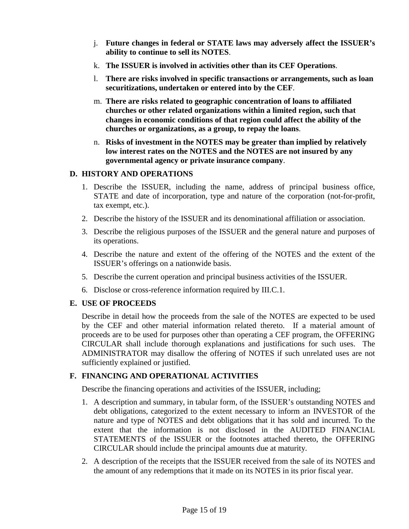- j. **Future changes in federal or STATE laws may adversely affect the ISSUER's ability to continue to sell its NOTES**.
- k. **The ISSUER is involved in activities other than its CEF Operations**.
- l. **There are risks involved in specific transactions or arrangements, such as loan securitizations, undertaken or entered into by the CEF**.
- m. **There are risks related to geographic concentration of loans to affiliated churches or other related organizations within a limited region, such that changes in economic conditions of that region could affect the ability of the churches or organizations, as a group, to repay the loans**.
- n. **Risks of investment in the NOTES may be greater than implied by relatively low interest rates on the NOTES and the NOTES are not insured by any governmental agency or private insurance company**.

#### **D. HISTORY AND OPERATIONS**

- 1. Describe the ISSUER, including the name, address of principal business office, STATE and date of incorporation, type and nature of the corporation (not-for-profit, tax exempt, etc.).
- 2. Describe the history of the ISSUER and its denominational affiliation or association.
- 3. Describe the religious purposes of the ISSUER and the general nature and purposes of its operations.
- 4. Describe the nature and extent of the offering of the NOTES and the extent of the ISSUER's offerings on a nationwide basis.
- 5. Describe the current operation and principal business activities of the ISSUER.
- 6. Disclose or cross-reference information required by III.C.1.

## **E. USE OF PROCEEDS**

Describe in detail how the proceeds from the sale of the NOTES are expected to be used by the CEF and other material information related thereto. If a material amount of proceeds are to be used for purposes other than operating a CEF program, the OFFERING CIRCULAR shall include thorough explanations and justifications for such uses. The ADMINISTRATOR may disallow the offering of NOTES if such unrelated uses are not sufficiently explained or justified.

## **F. FINANCING AND OPERATIONAL ACTIVITIES**

Describe the financing operations and activities of the ISSUER, including;

- 1. A description and summary, in tabular form, of the ISSUER's outstanding NOTES and debt obligations, categorized to the extent necessary to inform an INVESTOR of the nature and type of NOTES and debt obligations that it has sold and incurred. To the extent that the information is not disclosed in the AUDITED FINANCIAL STATEMENTS of the ISSUER or the footnotes attached thereto, the OFFERING CIRCULAR should include the principal amounts due at maturity.
- 2. A description of the receipts that the ISSUER received from the sale of its NOTES and the amount of any redemptions that it made on its NOTES in its prior fiscal year.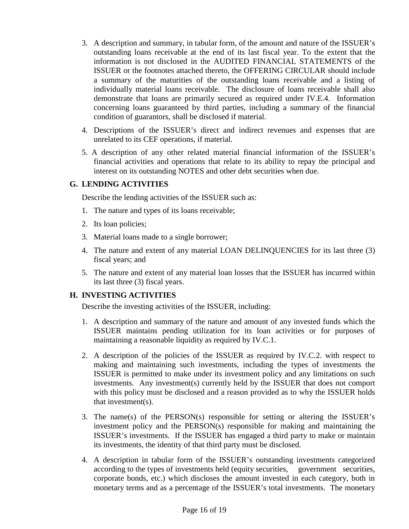- 3. A description and summary, in tabular form, of the amount and nature of the ISSUER's outstanding loans receivable at the end of its last fiscal year. To the extent that the information is not disclosed in the AUDITED FINANCIAL STATEMENTS of the ISSUER or the footnotes attached thereto, the OFFERING CIRCULAR should include a summary of the maturities of the outstanding loans receivable and a listing of individually material loans receivable. The disclosure of loans receivable shall also demonstrate that loans are primarily secured as required under IV.E.4. Information concerning loans guaranteed by third parties, including a summary of the financial condition of guarantors, shall be disclosed if material.
- 4. Descriptions of the ISSUER's direct and indirect revenues and expenses that are unrelated to its CEF operations, if material.
- 5. A description of any other related material financial information of the ISSUER's financial activities and operations that relate to its ability to repay the principal and interest on its outstanding NOTES and other debt securities when due.

## **G. LENDING ACTIVITIES**

Describe the lending activities of the ISSUER such as:

- 1. The nature and types of its loans receivable;
- 2. Its loan policies;
- 3. Material loans made to a single borrower;
- 4. The nature and extent of any material LOAN DELINQUENCIES for its last three (3) fiscal years; and
- 5. The nature and extent of any material loan losses that the ISSUER has incurred within its last three (3) fiscal years.

## **H. INVESTING ACTIVITIES**

Describe the investing activities of the ISSUER, including:

- 1. A description and summary of the nature and amount of any invested funds which the ISSUER maintains pending utilization for its loan activities or for purposes of maintaining a reasonable liquidity as required by IV.C.1.
- 2. A description of the policies of the ISSUER as required by IV.C.2. with respect to making and maintaining such investments, including the types of investments the ISSUER is permitted to make under its investment policy and any limitations on such investments. Any investment(s) currently held by the ISSUER that does not comport with this policy must be disclosed and a reason provided as to why the ISSUER holds that investment(s).
- 3. The name(s) of the PERSON(s) responsible for setting or altering the ISSUER's investment policy and the PERSON(s) responsible for making and maintaining the ISSUER's investments. If the ISSUER has engaged a third party to make or maintain its investments, the identity of that third party must be disclosed.
- 4. A description in tabular form of the ISSUER's outstanding investments categorized according to the types of investments held (equity securities, government securities, corporate bonds, etc.) which discloses the amount invested in each category, both in monetary terms and as a percentage of the ISSUER's total investments. The monetary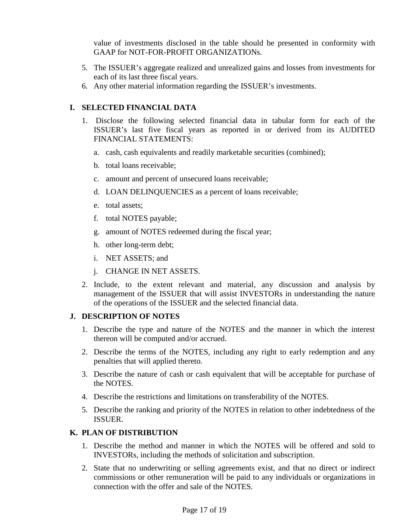value of investments disclosed in the table should be presented in conformity with GAAP for NOT-FOR-PROFIT ORGANIZATIONs.

- 5. The ISSUER's aggregate realized and unrealized gains and losses from investments for each of its last three fiscal years.
- 6. Any other material information regarding the ISSUER's investments.

# **I. SELECTED FINANCIAL DATA**

- 1. Disclose the following selected financial data in tabular form for each of the ISSUER's last five fiscal years as reported in or derived from its AUDITED FINANCIAL STATEMENTS:
	- a. cash, cash equivalents and readily marketable securities (combined);
	- b. total loans receivable;
	- c. amount and percent of unsecured loans receivable;
	- d. LOAN DELINQUENCIES as a percent of loans receivable;
	- e. total assets;
	- f. total NOTES payable;
	- g. amount of NOTES redeemed during the fiscal year;
	- h. other long-term debt;
	- i. NET ASSETS; and
	- j. CHANGE IN NET ASSETS.
- 2. Include, to the extent relevant and material, any discussion and analysis by management of the ISSUER that will assist INVESTORs in understanding the nature of the operations of the ISSUER and the selected financial data.

# **J. DESCRIPTION OF NOTES**

- 1. Describe the type and nature of the NOTES and the manner in which the interest thereon will be computed and/or accrued.
- 2. Describe the terms of the NOTES, including any right to early redemption and any penalties that will applied thereto.
- 3. Describe the nature of cash or cash equivalent that will be acceptable for purchase of the NOTES.
- 4. Describe the restrictions and limitations on transferability of the NOTES.
- 5. Describe the ranking and priority of the NOTES in relation to other indebtedness of the ISSUER.

## **K. PLAN OF DISTRIBUTION**

- 1. Describe the method and manner in which the NOTES will be offered and sold to INVESTORs, including the methods of solicitation and subscription.
- 2. State that no underwriting or selling agreements exist, and that no direct or indirect commissions or other remuneration will be paid to any individuals or organizations in connection with the offer and sale of the NOTES.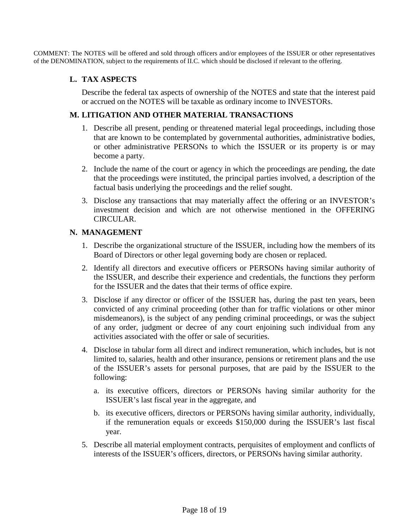COMMENT: The NOTES will be offered and sold through officers and/or employees of the ISSUER or other representatives of the DENOMINATION, subject to the requirements of II.C. which should be disclosed if relevant to the offering.

#### **L. TAX ASPECTS**

Describe the federal tax aspects of ownership of the NOTES and state that the interest paid or accrued on the NOTES will be taxable as ordinary income to INVESTORs.

#### **M. LITIGATION AND OTHER MATERIAL TRANSACTIONS**

- 1. Describe all present, pending or threatened material legal proceedings, including those that are known to be contemplated by governmental authorities, administrative bodies, or other administrative PERSONs to which the ISSUER or its property is or may become a party.
- 2. Include the name of the court or agency in which the proceedings are pending, the date that the proceedings were instituted, the principal parties involved, a description of the factual basis underlying the proceedings and the relief sought.
- 3. Disclose any transactions that may materially affect the offering or an INVESTOR's investment decision and which are not otherwise mentioned in the OFFERING CIRCULAR.

### **N. MANAGEMENT**

- 1. Describe the organizational structure of the ISSUER, including how the members of its Board of Directors or other legal governing body are chosen or replaced.
- 2. Identify all directors and executive officers or PERSONs having similar authority of the ISSUER, and describe their experience and credentials, the functions they perform for the ISSUER and the dates that their terms of office expire.
- 3. Disclose if any director or officer of the ISSUER has, during the past ten years, been convicted of any criminal proceeding (other than for traffic violations or other minor misdemeanors), is the subject of any pending criminal proceedings, or was the subject of any order, judgment or decree of any court enjoining such individual from any activities associated with the offer or sale of securities.
- 4. Disclose in tabular form all direct and indirect remuneration, which includes, but is not limited to, salaries, health and other insurance, pensions or retirement plans and the use of the ISSUER's assets for personal purposes, that are paid by the ISSUER to the following:
	- a. its executive officers, directors or PERSONs having similar authority for the ISSUER's last fiscal year in the aggregate, and
	- b. its executive officers, directors or PERSONs having similar authority, individually, if the remuneration equals or exceeds \$150,000 during the ISSUER's last fiscal year.
- 5. Describe all material employment contracts, perquisites of employment and conflicts of interests of the ISSUER's officers, directors, or PERSONs having similar authority.